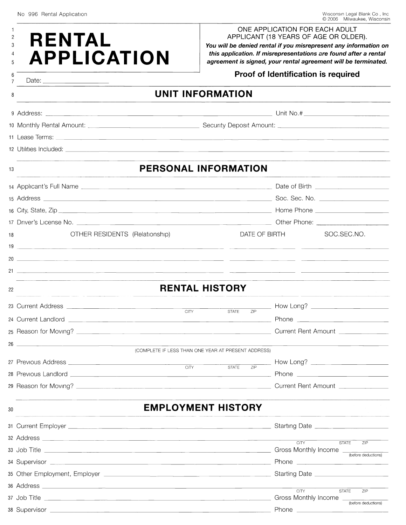| <b>RENTAL</b><br><b>APPLICATION</b>                                                       | ONE APPLICATION FOR EACH ADULT<br>APPLICANT (18 YEARS OF AGE OR OLDER).<br>You will be denied rental if you misrepresent any information on<br>this application. If misrepresentations are found after a rental<br>agreement is signed, your rental agreement will be terminated. |  |  |  |
|-------------------------------------------------------------------------------------------|-----------------------------------------------------------------------------------------------------------------------------------------------------------------------------------------------------------------------------------------------------------------------------------|--|--|--|
|                                                                                           | Proof of Identification is required                                                                                                                                                                                                                                               |  |  |  |
| 8                                                                                         | <b>UNIT INFORMATION</b>                                                                                                                                                                                                                                                           |  |  |  |
|                                                                                           |                                                                                                                                                                                                                                                                                   |  |  |  |
|                                                                                           | 10 Monthly Rental Amount: 2008 Communication Communication Security Deposit Amount: 2008 Communication Communi                                                                                                                                                                    |  |  |  |
|                                                                                           |                                                                                                                                                                                                                                                                                   |  |  |  |
|                                                                                           |                                                                                                                                                                                                                                                                                   |  |  |  |
| 13                                                                                        | PERSONAL INFORMATION                                                                                                                                                                                                                                                              |  |  |  |
|                                                                                           |                                                                                                                                                                                                                                                                                   |  |  |  |
|                                                                                           |                                                                                                                                                                                                                                                                                   |  |  |  |
|                                                                                           |                                                                                                                                                                                                                                                                                   |  |  |  |
|                                                                                           |                                                                                                                                                                                                                                                                                   |  |  |  |
| OTHER RESIDENTS (Relationship)<br>18                                                      | SOC.SEC.NO.<br>DATE OF BIRTH                                                                                                                                                                                                                                                      |  |  |  |
| 19                                                                                        | <u> 1980 - Andrea Andrew Maria (b. 1980)</u>                                                                                                                                                                                                                                      |  |  |  |
|                                                                                           |                                                                                                                                                                                                                                                                                   |  |  |  |
|                                                                                           |                                                                                                                                                                                                                                                                                   |  |  |  |
| 22                                                                                        | <b>RENTAL HISTORY</b>                                                                                                                                                                                                                                                             |  |  |  |
|                                                                                           |                                                                                                                                                                                                                                                                                   |  |  |  |
|                                                                                           | <b>CITY</b><br>ZIP<br><b>STATE</b><br>Phone                                                                                                                                                                                                                                       |  |  |  |
| 24 Current Landlord                                                                       | Current Rent Amount _______________                                                                                                                                                                                                                                               |  |  |  |
| $26$ $\overline{\phantom{a}}$                                                             |                                                                                                                                                                                                                                                                                   |  |  |  |
|                                                                                           | (COMPLETE IF LESS THAN ONE YEAR AT PRESENT ADDRESS)                                                                                                                                                                                                                               |  |  |  |
|                                                                                           | CITY<br><b>STATE</b><br>7P                                                                                                                                                                                                                                                        |  |  |  |
|                                                                                           |                                                                                                                                                                                                                                                                                   |  |  |  |
|                                                                                           | Current Rent Amount ______________                                                                                                                                                                                                                                                |  |  |  |
| 30                                                                                        | <b>EMPLOYMENT HISTORY</b>                                                                                                                                                                                                                                                         |  |  |  |
| the company of the company of the company of the company of the company of the company of |                                                                                                                                                                                                                                                                                   |  |  |  |
|                                                                                           | <b>CITY</b>                                                                                                                                                                                                                                                                       |  |  |  |
|                                                                                           | <b>STATE</b><br>ZIP<br>(before deductions)                                                                                                                                                                                                                                        |  |  |  |
|                                                                                           |                                                                                                                                                                                                                                                                                   |  |  |  |
|                                                                                           |                                                                                                                                                                                                                                                                                   |  |  |  |
|                                                                                           | <b>CITY</b><br><b>STATE</b><br>ZIP                                                                                                                                                                                                                                                |  |  |  |
|                                                                                           | (before deductions)                                                                                                                                                                                                                                                               |  |  |  |
|                                                                                           |                                                                                                                                                                                                                                                                                   |  |  |  |